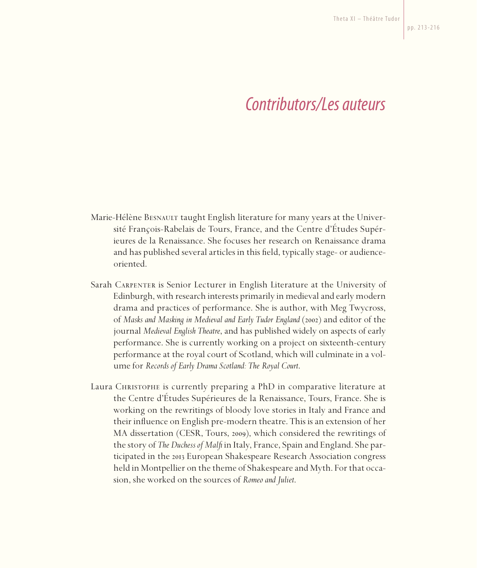## *Contributors/Les auteurs*

- Marie-Hélène BESNAULT taught English literature for many years at the Université François-Rabelais de Tours, France, and the Centre d'Études Supérieures de la Renaissance. She focuses her research on Renaissance drama and has published several articles in this field, typically stage- or audienceoriented.
- Sarah Carpenter is Senior Lecturer in English Literature at the University of Edinburgh, with research interests primarily in medieval and early modern drama and practices of performance. She is author, with Meg Twycross, of *Masks and Masking in Medieval and Early Tudor England* (2002) and editor of the journal *Medieval English Theatre*, and has published widely on aspects of early performance. She is currently working on a project on sixteenth-century performance at the royal court of Scotland, which will culminate in a volume for *Records of Early Drama Scotland: The Royal Court*.
- Laura Christophe is currently preparing a PhD in comparative literature at the Centre d'Études Supérieures de la Renaissance, Tours, France. She is working on the rewritings of bloody love stories in Italy and France and their influence on English pre-modern theatre. This is an extension of her MA dissertation (CESR, Tours, 2009), which considered the rewritings of the story of *The Duchess of Malfi* in Italy, France, Spain and England. She participated in the 2013 European Shakespeare Research Association congress held in Montpellier on the theme of Shakespeare and Myth. For that occasion, she worked on the sources of *Romeo and Juliet*.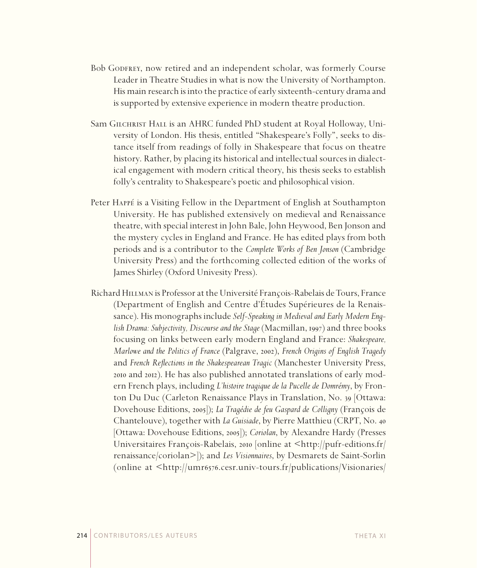- Bob GODFREY, now retired and an independent scholar, was formerly Course Leader in Theatre Studies in what is now the University of Northampton. His main research is into the practice of early sixteenth-century drama and is supported by extensive experience in modern theatre production.
- Sam GILCHRIST HALL is an AHRC funded PhD student at Royal Holloway, University of London. His thesis, entitled "Shakespeare's Folly", seeks to distance itself from readings of folly in Shakespeare that focus on theatre history. Rather, by placing its historical and intellectual sources in dialectical engagement with modern critical theory, his thesis seeks to establish folly's centrality to Shakespeare's poetic and philosophical vision.
- Peter Happé is a Visiting Fellow in the Department of English at Southampton University. He has published extensively on medieval and Renaissance theatre, with special interest in John Bale, John Heywood, Ben Jonson and the mystery cycles in England and France. He has edited plays from both periods and is a contributor to the *Complete Works of Ben Jonson* (Cambridge University Press) and the forthcoming collected edition of the works of James Shirley (Oxford Univesity Press).
- Richard Hillman is Professor at the Université François-Rabelais de Tours, France (Department of English and Centre d'Études Supérieures de la Renaissance). His monographs include *Self-Speaking in Medieval and Early Modern English Drama: Subjectivity, Discourse and the Stage* (Macmillan, 1997) and three books focusing on links between early modern England and France: *Shakespeare, Marlowe and the Politics of France* (Palgrave, 2002), *French Origins of English Tragedy* and *French Reflections in the Shakespearean Tragic* (Manchester University Press, 2010 and 2012). He has also published annotated translations of early modern French plays, including *L'histoire tragique de la Pucelle de Domrémy*, by Fronton Du Duc (Carleton Renaissance Plays in Translation, No. 39 [Ottawa: Dovehouse Editions, 2005]); *La Tragédie de feu Gaspard de Colligny* (François de Chantelouve), together with *La Guisiade*, by Pierre Matthieu (CRPT, No. 40 [Ottawa: Dovehouse Editions, 2005]); *Coriolan*, by Alexandre Hardy (Presses Universitaires François-Rabelais, 2010 | online at  $\langle$ http://pufr-editions.fr/ renaissance/coriolan>]); and *Les Visionnaires*, by Desmarets de Saint-Sorlin (online at <http://umr6576.cesr.univ-tours.fr/publications/Visionaries/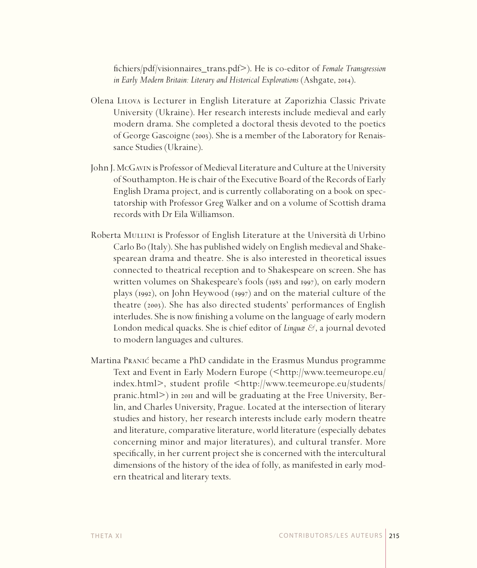fichiers/pdf/visionnaires\_trans.pdf>). He is co-editor of *Female Transgression in Early Modern Britain: Literary and Historical Explorations* (Ashgate, 2014).

- Olena Lilova is Lecturer in English Literature at Zaporizhia Classic Private University (Ukraine). Her research interests include medieval and early modern drama. She completed a doctoral thesis devoted to the poetics of George Gascoigne (2003). She is a member of the Laboratory for Renaissance Studies (Ukraine).
- John J. McGavin is Professor of Medieval Literature and Culture at the University of Southampton. He is chair of the Executive Board of the Records of Early English Drama project, and is currently collaborating on a book on spectatorship with Professor Greg Walker and on a volume of Scottish drama records with Dr Eila Williamson.
- Roberta MULLINI is Professor of English Literature at the Università di Urbino Carlo Bo (Italy). She has published widely on English medieval and Shakespearean drama and theatre. She is also interested in theoretical issues connected to theatrical reception and to Shakespeare on screen. She has written volumes on Shakespeare's fools (1983 and 1997), on early modern plays (1992), on John Heywood (1997) and on the material culture of the theatre (2003). She has also directed students' performances of English interludes. She is now finishing a volume on the language of early modern London medical quacks. She is chief editor of *Linguæ &*, a journal devoted to modern languages and cultures.
- Martina Pranic´ became a PhD candidate in the Erasmus Mundus programme Text and Event in Early Modern Europe (<http://www.teemeurope.eu/ index.html>, student profile <http://www.teemeurope.eu/students/ pranic.html>) in 2011 and will be graduating at the Free University, Berlin, and Charles University, Prague. Located at the intersection of literary studies and history, her research interests include early modern theatre and literature, comparative literature, world literature (especially debates concerning minor and major literatures), and cultural transfer. More specifically, in her current project she is concerned with the intercultural dimensions of the history of the idea of folly, as manifested in early modern theatrical and literary texts.